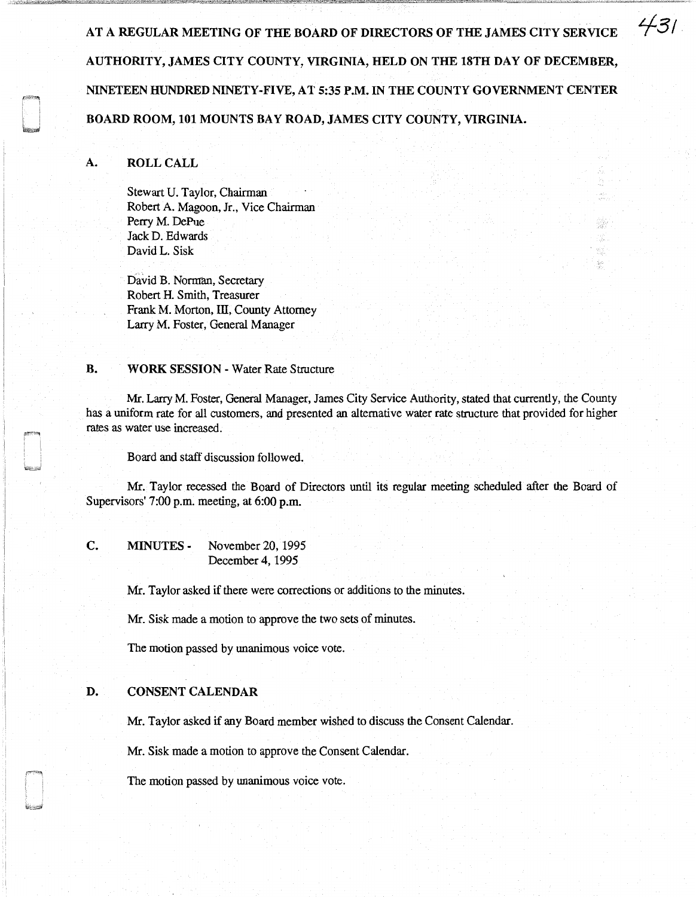AT A REGULAR MEETING OF THE BOARD OF DIRECTORS OF THE JAMES CITY SERVICE AUTHORITY, JAMES CITY COUNTY, VIRGINIA, HELD ON THE 18TH DAY OF DECEMBER, NINETEEN HUNDRED NINETY-FIVE, AT 5:35 P.M. IN THE COUNTY GOVERNMENT CENTER BOARD ROOM, 101 MOUNTS BAY ROAD, JAMES CITY COUNTY, VIRGINIA.

*431* 

### A. ROLL CALL

Stewart U. Taylor, Chairman Robert A. Magoon, Jr., Vice Chairman Perry M. DePue Jack D. Edwards David L. Sisk

David B. Norman, Secretary Robert H. Smith, Treasurer Frank M. Morton, ill, County Attorney Larry M. Foster, General Manager

#### B. WORK SESSION - Water Rate Structure

Mr. Larry M. Foster, General Manager, James City Service Authority, stated that currently, the County has a uniform rate for all customers, and presented an alternative water rate structure that provided for higher rates as water use increased.

Board and staff discussion followed.

Mr. Taylor recessed the Board of Directors until its regular meeting scheduled after the Board of Supervisors' 7:00 p.m. meeting, at 6:00 p.m.

C. MINUTES - November 20, 1995 December 4, 1995

Mr. Taylor asked if there were corrections or additions to the minutes.

Mr. Sisk made a motion to approve the two sets of minutes.

The motion passed by unanimous voice vote.

# D. CONSENT CALENDAR

Mr. Taylor asked if any Board member wished to discuss the Consent Calendar.

Mr. Sisk made a motion to approve the Consent Calendar.

The motion passed by unanimous voice vote.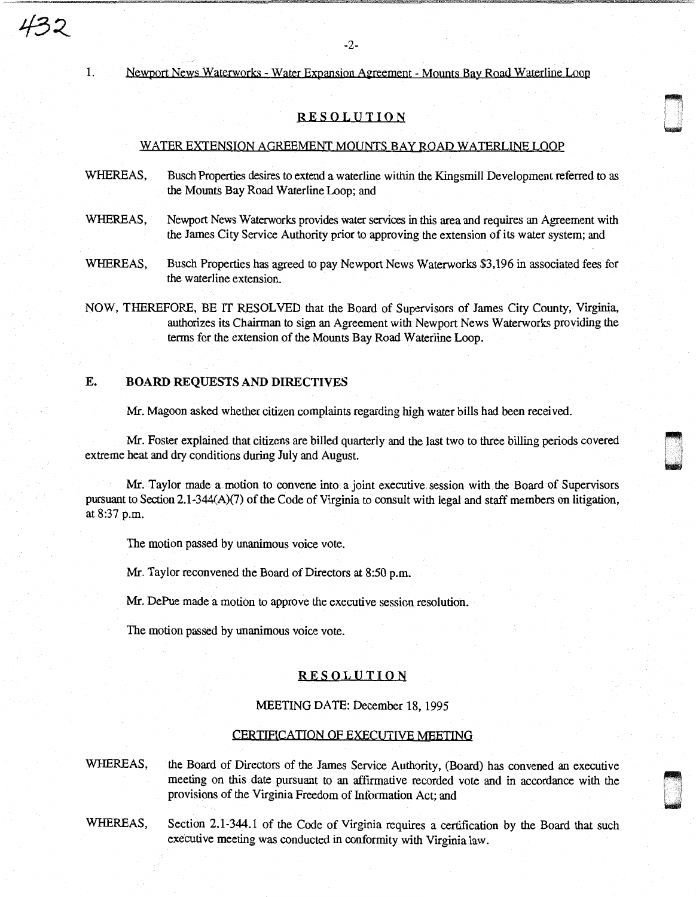1. Newport News Waterworks - Water Expansion Agreement - Mounts Bay Road Waterline Loop

# RESOLUTION

#### WATER EXTENSION AQREEMENT MOUNTS BAY ROAD WATERLINE LOOP

- WHEREAS, Busch Properties desires to extend a waterline within the Kingsmill Development referred to as the Mounts Bay Road Waterline Loop; and
- WHEREAS, Newport News Waterworks provides water services in this area and requires an Agreement with the James City Service Authority prior to approving the extension of its water system; and
- WHEREAS, Busch Properties has agreed to pay Newport News Waterworks \$3,196 in associated fees for the waterline extension.
- NOW, THEREFORE, BE IT RESOLVED that the Board of Supervisors of James City County, Virginia, authorizes its Chairman to sign an Agreement with Newport News Waterworks providing the terms for the extension of the Mounts Bay Road Waterline Loop.

# E. BOARD REQUESTS AND DIRECTIVES

Mr. Magoon asked whether citizen complaints regarding high water bills had been received.

Mr. Foster explained that citizens are billed quarterly and the last two to three billing periods covered extreme heat and dry conditions during July and August.

""' I '

Mr. Taylor made a motion to convene into a joint executive. session with the Board of Supervisors pursuant to Section 2.1-344(A)(7) of the Code of Virginia to consult with legal and staff members on litigation, at 8:37 p.m.

The motion passed by unanimous voice vote.

Mr. Taylor reconvened the Board of Directors at 8:50 p.m.

Mr. DePue made a motion to approve the executive session resolution.

The motion passed by unanimous voice vote.

# RESOLUTION

## MEETING DATE: December 18, 1995

# CERTIFICATION OF EXECUTIVE MEETING

23

WHEREAS, the Board of Directors of the James Service Authority, (Board) has convened an executive meeting on this date pursuant to an affirmative recorded vote and in accordance with the meeting on this date pursuant to an affirmative recorded vote and in accordance with the meeting on this date pursuant to an affirmative recorded vote and in accordance with the provisions of the Virginia Freedom of Information Act; and

WHEREAS, Section 2.1-344.1 of the Code of Virginia requires a certification by the Board that such executive meeting was conducted in conformity with Virginia law.